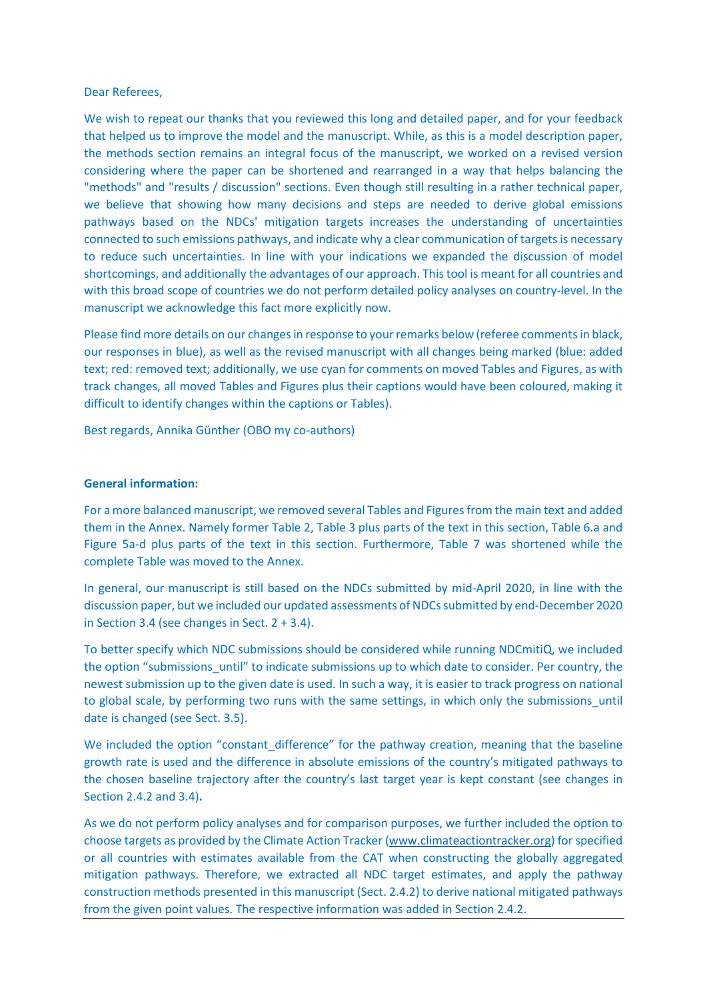### Dear Referees,

We wish to repeat our thanks that you reviewed this long and detailed paper, and for your feedback that helped us to improve the model and the manuscript. While, as this is a model description paper, the methods section remains an integral focus of the manuscript, we worked on a revised version considering where the paper can be shortened and rearranged in a way that helps balancing the "methods" and "results / discussion" sections. Even though still resulting in a rather technical paper, we believe that showing how many decisions and steps are needed to derive global emissions pathways based on the NDCs' mitigation targets increases the understanding of uncertainties connected to such emissions pathways, and indicate why a clear communication of targets is necessary to reduce such uncertainties. In line with your indications we expanded the discussion of model shortcomings, and additionally the advantages of our approach. This tool is meant for all countries and with this broad scope of countries we do not perform detailed policy analyses on country-level. In the manuscript we acknowledge this fact more explicitly now.

Please find more details on our changes in response to your remarks below (referee comments in black, our responses in blue), as well as the revised manuscript with all changes being marked (blue: added text; red: removed text; additionally, we use cyan for comments on moved Tables and Figures, as with track changes, all moved Tables and Figures plus their captions would have been coloured, making it difficult to identify changes within the captions or Tables).

Best regards, Annika Günther (OBO my co-authors)

### General information:

For a more balanced manuscript, we removed several Tables and Figures from the main text and added them in the Annex. Namely former Table 2, Table 3 plus parts of the text in this section, Table 6.a and Figure 5a-d plus parts of the text in this section. Furthermore, Table 7 was shortened while the complete Table was moved to the Annex.

In general, our manuscript is still based on the NDCs submitted by mid-April 2020, in line with the discussion paper, but we included our updated assessments of NDCs submitted by end-December 2020 in Section 3.4 (see changes in Sect. 2 + 3.4).

To better specify which NDC submissions should be considered while running NDCmitiQ, we included the option "submissions until" to indicate submissions up to which date to consider. Per country, the newest submission up to the given date is used. In such a way, it is easier to track progress on national to global scale, by performing two runs with the same settings, in which only the submissions until date is changed (see Sect. 3.5).

We included the option "constant difference" for the pathway creation, meaning that the baseline growth rate is used and the difference in absolute emissions of the country's mitigated pathways to the chosen baseline trajectory after the country's last target year is kept constant (see changes in Section 2.4.2 and 3.4).

As we do not perform policy analyses and for comparison purposes, we further included the option to choose targets as provided by the Climate Action Tracker (www.climateactiontracker.org) for specified or all countries with estimates available from the CAT when constructing the globally aggregated mitigation pathways. Therefore, we extracted all NDC target estimates, and apply the pathway construction methods presented in this manuscript (Sect. 2.4.2) to derive national mitigated pathways from the given point values. The respective information was added in Section 2.4.2.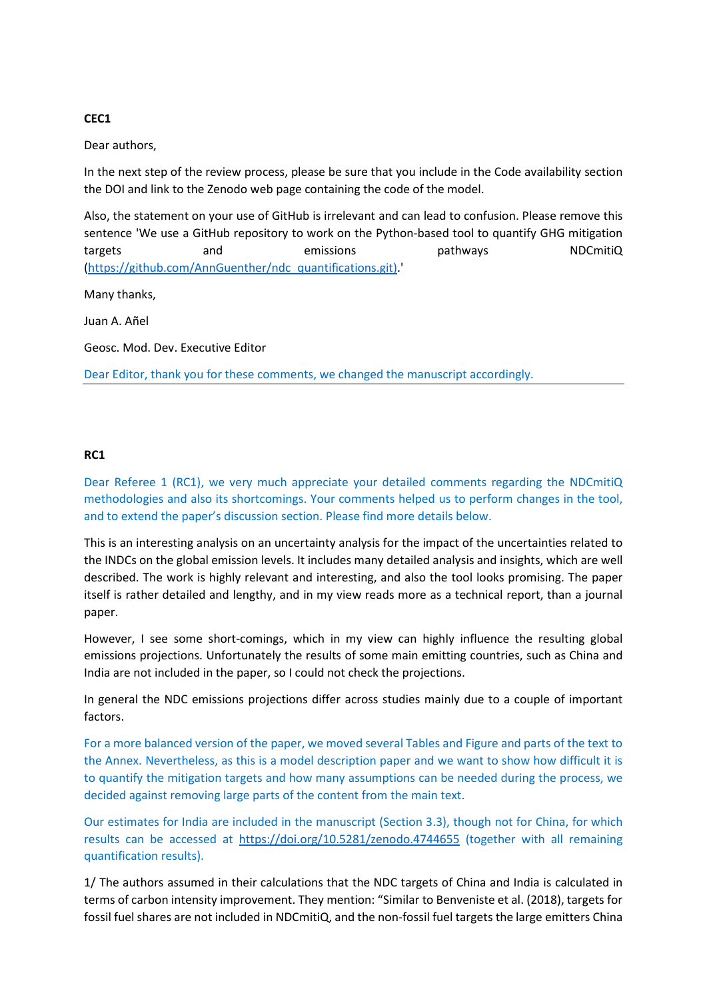## CEC1

Dear authors,

In the next step of the review process, please be sure that you include in the Code availability section the DOI and link to the Zenodo web page containing the code of the model.

Also, the statement on your use of GitHub is irrelevant and can lead to confusion. Please remove this sentence 'We use a GitHub repository to work on the Python-based tool to quantify GHG mitigation targets and emissions pathways NDCmitiQ (https://github.com/AnnGuenther/ndc\_quantifications.git).'

Many thanks,

Juan A. Añel

Geosc. Mod. Dev. Executive Editor

Dear Editor, thank you for these comments, we changed the manuscript accordingly.

## RC1

Dear Referee 1 (RC1), we very much appreciate your detailed comments regarding the NDCmitiQ methodologies and also its shortcomings. Your comments helped us to perform changes in the tool, and to extend the paper's discussion section. Please find more details below.

This is an interesting analysis on an uncertainty analysis for the impact of the uncertainties related to the INDCs on the global emission levels. It includes many detailed analysis and insights, which are well described. The work is highly relevant and interesting, and also the tool looks promising. The paper itself is rather detailed and lengthy, and in my view reads more as a technical report, than a journal paper.

However, I see some short-comings, which in my view can highly influence the resulting global emissions projections. Unfortunately the results of some main emitting countries, such as China and India are not included in the paper, so I could not check the projections.

In general the NDC emissions projections differ across studies mainly due to a couple of important factors.

For a more balanced version of the paper, we moved several Tables and Figure and parts of the text to the Annex. Nevertheless, as this is a model description paper and we want to show how difficult it is to quantify the mitigation targets and how many assumptions can be needed during the process, we decided against removing large parts of the content from the main text.

Our estimates for India are included in the manuscript (Section 3.3), though not for China, for which results can be accessed at https://doi.org/10.5281/zenodo.4744655 (together with all remaining quantification results).

1/ The authors assumed in their calculations that the NDC targets of China and India is calculated in terms of carbon intensity improvement. They mention: "Similar to Benveniste et al. (2018), targets for fossil fuel shares are not included in NDCmitiQ, and the non-fossil fuel targets the large emitters China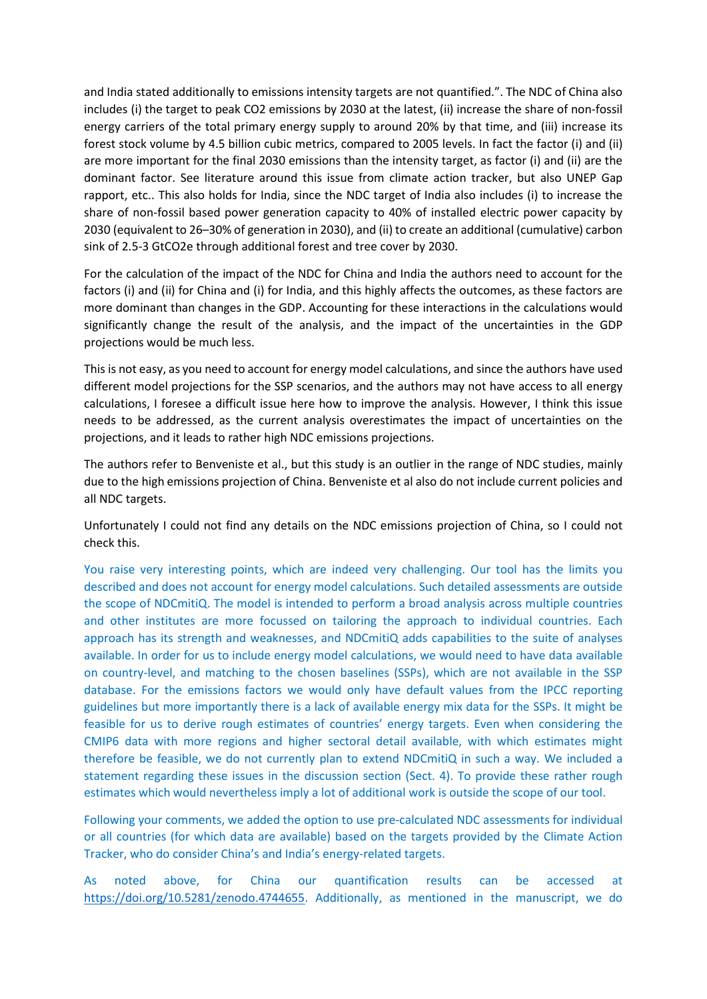and India stated additionally to emissions intensity targets are not quantified.". The NDC of China also includes (i) the target to peak CO2 emissions by 2030 at the latest, (ii) increase the share of non-fossil energy carriers of the total primary energy supply to around 20% by that time, and (iii) increase its forest stock volume by 4.5 billion cubic metrics, compared to 2005 levels. In fact the factor (i) and (ii) are more important for the final 2030 emissions than the intensity target, as factor (i) and (ii) are the dominant factor. See literature around this issue from climate action tracker, but also UNEP Gap rapport, etc.. This also holds for India, since the NDC target of India also includes (i) to increase the share of non-fossil based power generation capacity to 40% of installed electric power capacity by 2030 (equivalent to 26–30% of generation in 2030), and (ii) to create an additional (cumulative) carbon sink of 2.5-3 GtCO2e through additional forest and tree cover by 2030.

For the calculation of the impact of the NDC for China and India the authors need to account for the factors (i) and (ii) for China and (i) for India, and this highly affects the outcomes, as these factors are more dominant than changes in the GDP. Accounting for these interactions in the calculations would significantly change the result of the analysis, and the impact of the uncertainties in the GDP projections would be much less.

This is not easy, as you need to account for energy model calculations, and since the authors have used different model projections for the SSP scenarios, and the authors may not have access to all energy calculations, I foresee a difficult issue here how to improve the analysis. However, I think this issue needs to be addressed, as the current analysis overestimates the impact of uncertainties on the projections, and it leads to rather high NDC emissions projections.

The authors refer to Benveniste et al., but this study is an outlier in the range of NDC studies, mainly due to the high emissions projection of China. Benveniste et al also do not include current policies and all NDC targets.

Unfortunately I could not find any details on the NDC emissions projection of China, so I could not check this.

You raise very interesting points, which are indeed very challenging. Our tool has the limits you described and does not account for energy model calculations. Such detailed assessments are outside the scope of NDCmitiQ. The model is intended to perform a broad analysis across multiple countries and other institutes are more focussed on tailoring the approach to individual countries. Each approach has its strength and weaknesses, and NDCmitiQ adds capabilities to the suite of analyses available. In order for us to include energy model calculations, we would need to have data available on country-level, and matching to the chosen baselines (SSPs), which are not available in the SSP database. For the emissions factors we would only have default values from the IPCC reporting guidelines but more importantly there is a lack of available energy mix data for the SSPs. It might be feasible for us to derive rough estimates of countries' energy targets. Even when considering the CMIP6 data with more regions and higher sectoral detail available, with which estimates might therefore be feasible, we do not currently plan to extend NDCmitiQ in such a way. We included a statement regarding these issues in the discussion section (Sect. 4). To provide these rather rough estimates which would nevertheless imply a lot of additional work is outside the scope of our tool.

Following your comments, we added the option to use pre-calculated NDC assessments for individual or all countries (for which data are available) based on the targets provided by the Climate Action Tracker, who do consider China's and India's energy-related targets.

As noted above, for China our quantification results can be accessed at https://doi.org/10.5281/zenodo.4744655. Additionally, as mentioned in the manuscript, we do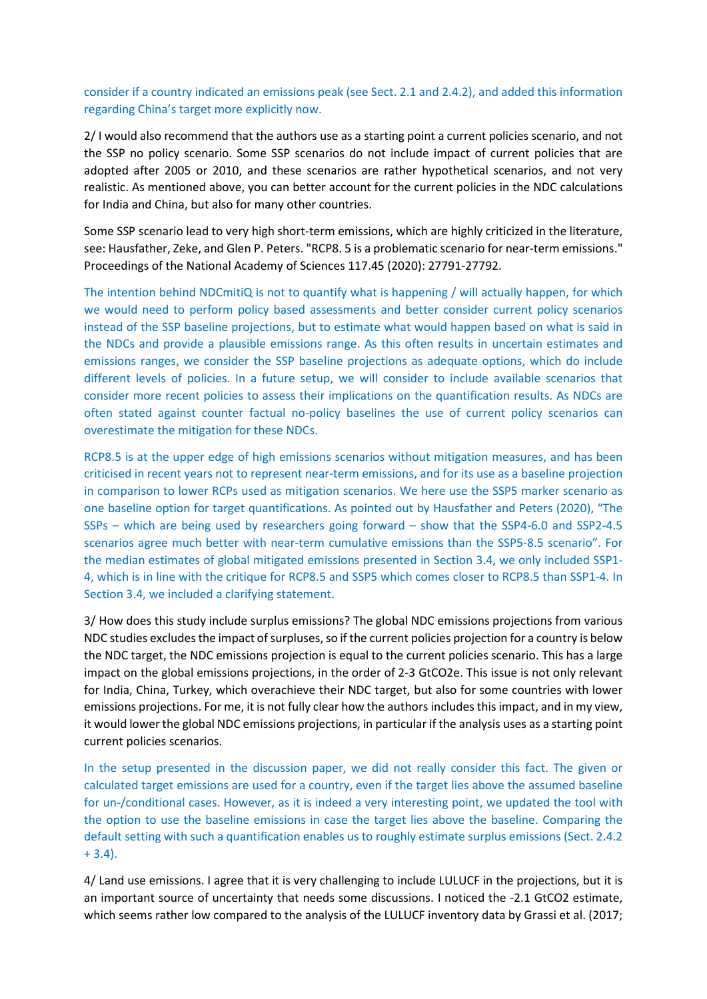consider if a country indicated an emissions peak (see Sect. 2.1 and 2.4.2), and added this information regarding China's target more explicitly now.

2/ I would also recommend that the authors use as a starting point a current policies scenario, and not the SSP no policy scenario. Some SSP scenarios do not include impact of current policies that are adopted after 2005 or 2010, and these scenarios are rather hypothetical scenarios, and not very realistic. As mentioned above, you can better account for the current policies in the NDC calculations for India and China, but also for many other countries.

Some SSP scenario lead to very high short-term emissions, which are highly criticized in the literature, see: Hausfather, Zeke, and Glen P. Peters. "RCP8. 5 is a problematic scenario for near-term emissions." Proceedings of the National Academy of Sciences 117.45 (2020): 27791-27792.

The intention behind NDCmitiQ is not to quantify what is happening / will actually happen, for which we would need to perform policy based assessments and better consider current policy scenarios instead of the SSP baseline projections, but to estimate what would happen based on what is said in the NDCs and provide a plausible emissions range. As this often results in uncertain estimates and emissions ranges, we consider the SSP baseline projections as adequate options, which do include different levels of policies. In a future setup, we will consider to include available scenarios that consider more recent policies to assess their implications on the quantification results. As NDCs are often stated against counter factual no-policy baselines the use of current policy scenarios can overestimate the mitigation for these NDCs.

RCP8.5 is at the upper edge of high emissions scenarios without mitigation measures, and has been criticised in recent years not to represent near-term emissions, and for its use as a baseline projection in comparison to lower RCPs used as mitigation scenarios. We here use the SSP5 marker scenario as one baseline option for target quantifications. As pointed out by Hausfather and Peters (2020), "The SSPs – which are being used by researchers going forward – show that the SSP4-6.0 and SSP2-4.5 scenarios agree much better with near-term cumulative emissions than the SSP5-8.5 scenario". For the median estimates of global mitigated emissions presented in Section 3.4, we only included SSP1- 4, which is in line with the critique for RCP8.5 and SSP5 which comes closer to RCP8.5 than SSP1-4. In Section 3.4, we included a clarifying statement.

3/ How does this study include surplus emissions? The global NDC emissions projections from various NDC studies excludes the impact of surpluses, so if the current policies projection for a country is below the NDC target, the NDC emissions projection is equal to the current policies scenario. This has a large impact on the global emissions projections, in the order of 2-3 GtCO2e. This issue is not only relevant for India, China, Turkey, which overachieve their NDC target, but also for some countries with lower emissions projections. For me, it is not fully clear how the authors includes this impact, and in my view, it would lower the global NDC emissions projections, in particular if the analysis uses as a starting point current policies scenarios.

In the setup presented in the discussion paper, we did not really consider this fact. The given or calculated target emissions are used for a country, even if the target lies above the assumed baseline for un-/conditional cases. However, as it is indeed a very interesting point, we updated the tool with the option to use the baseline emissions in case the target lies above the baseline. Comparing the default setting with such a quantification enables us to roughly estimate surplus emissions (Sect. 2.4.2 + 3.4).

4/ Land use emissions. I agree that it is very challenging to include LULUCF in the projections, but it is an important source of uncertainty that needs some discussions. I noticed the -2.1 GtCO2 estimate, which seems rather low compared to the analysis of the LULUCF inventory data by Grassi et al. (2017;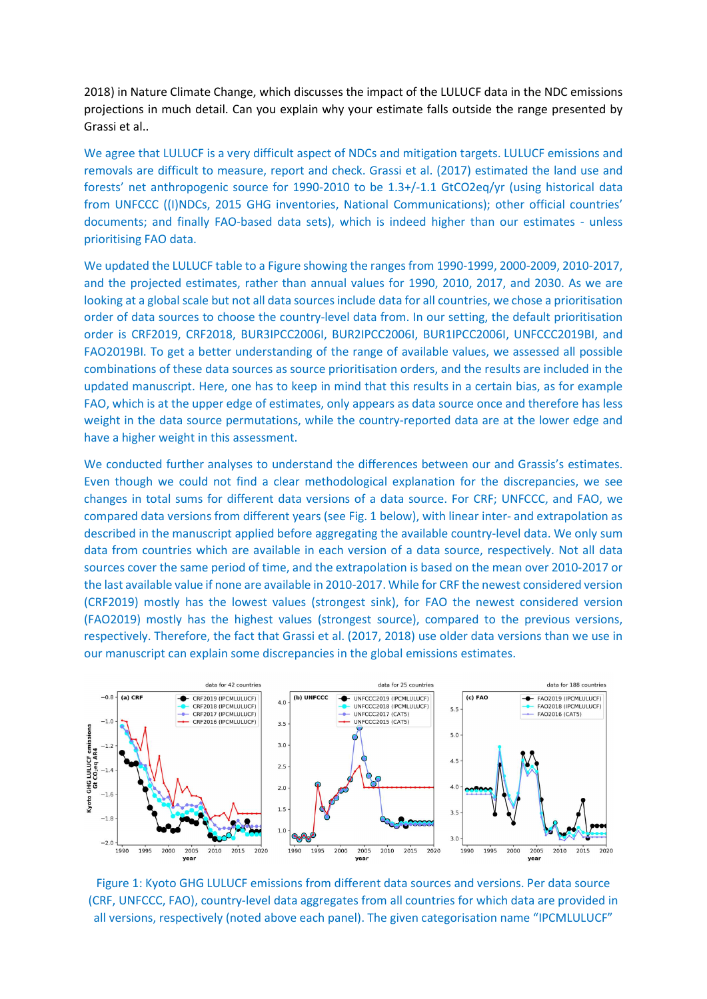2018) in Nature Climate Change, which discusses the impact of the LULUCF data in the NDC emissions projections in much detail. Can you explain why your estimate falls outside the range presented by Grassi et al..

We agree that LULUCF is a very difficult aspect of NDCs and mitigation targets. LULUCF emissions and removals are difficult to measure, report and check. Grassi et al. (2017) estimated the land use and forests' net anthropogenic source for 1990-2010 to be 1.3+/-1.1 GtCO2eq/yr (using historical data from UNFCCC ((I)NDCs, 2015 GHG inventories, National Communications); other official countries' documents; and finally FAO-based data sets), which is indeed higher than our estimates - unless prioritising FAO data.

We updated the LULUCF table to a Figure showing the ranges from 1990-1999, 2000-2009, 2010-2017, and the projected estimates, rather than annual values for 1990, 2010, 2017, and 2030. As we are looking at a global scale but not all data sources include data for all countries, we chose a prioritisation order of data sources to choose the country-level data from. In our setting, the default prioritisation order is CRF2019, CRF2018, BUR3IPCC2006I, BUR2IPCC2006I, BUR1IPCC2006I, UNFCCC2019BI, and FAO2019BI. To get a better understanding of the range of available values, we assessed all possible combinations of these data sources as source prioritisation orders, and the results are included in the updated manuscript. Here, one has to keep in mind that this results in a certain bias, as for example FAO, which is at the upper edge of estimates, only appears as data source once and therefore has less weight in the data source permutations, while the country-reported data are at the lower edge and have a higher weight in this assessment.

We conducted further analyses to understand the differences between our and Grassis's estimates. Even though we could not find a clear methodological explanation for the discrepancies, we see changes in total sums for different data versions of a data source. For CRF; UNFCCC, and FAO, we compared data versions from different years (see Fig. 1 below), with linear inter- and extrapolation as described in the manuscript applied before aggregating the available country-level data. We only sum data from countries which are available in each version of a data source, respectively. Not all data sources cover the same period of time, and the extrapolation is based on the mean over 2010-2017 or the last available value if none are available in 2010-2017. While for CRF the newest considered version (CRF2019) mostly has the lowest values (strongest sink), for FAO the newest considered version (FAO2019) mostly has the highest values (strongest source), compared to the previous versions, respectively. Therefore, the fact that Grassi et al. (2017, 2018) use older data versions than we use in our manuscript can explain some discrepancies in the global emissions estimates.



Figure 1: Kyoto GHG LULUCF emissions from different data sources and versions. Per data source (CRF, UNFCCC, FAO), country-level data aggregates from all countries for which data are provided in all versions, respectively (noted above each panel). The given categorisation name "IPCMLULUCF"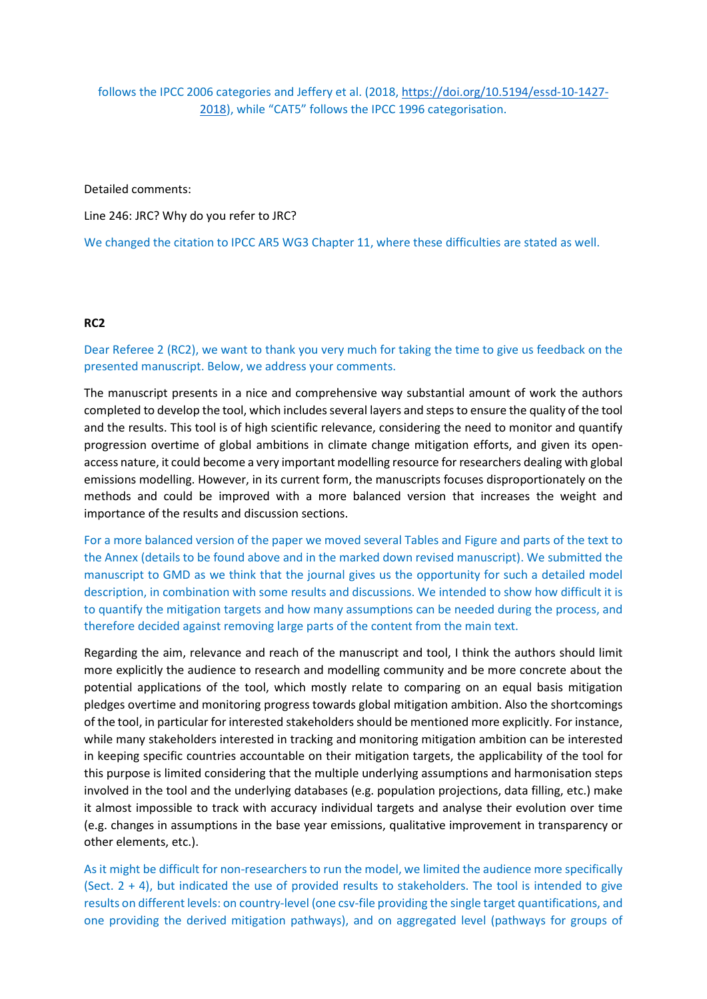# follows the IPCC 2006 categories and Jeffery et al. (2018, https://doi.org/10.5194/essd-10-1427- 2018), while "CAT5" follows the IPCC 1996 categorisation.

Detailed comments:

Line 246: JRC? Why do you refer to JRC?

We changed the citation to IPCC AR5 WG3 Chapter 11, where these difficulties are stated as well.

# RC2

Dear Referee 2 (RC2), we want to thank you very much for taking the time to give us feedback on the presented manuscript. Below, we address your comments.

The manuscript presents in a nice and comprehensive way substantial amount of work the authors completed to develop the tool, which includes several layers and steps to ensure the quality of the tool and the results. This tool is of high scientific relevance, considering the need to monitor and quantify progression overtime of global ambitions in climate change mitigation efforts, and given its openaccess nature, it could become a very important modelling resource for researchers dealing with global emissions modelling. However, in its current form, the manuscripts focuses disproportionately on the methods and could be improved with a more balanced version that increases the weight and importance of the results and discussion sections.

For a more balanced version of the paper we moved several Tables and Figure and parts of the text to the Annex (details to be found above and in the marked down revised manuscript). We submitted the manuscript to GMD as we think that the journal gives us the opportunity for such a detailed model description, in combination with some results and discussions. We intended to show how difficult it is to quantify the mitigation targets and how many assumptions can be needed during the process, and therefore decided against removing large parts of the content from the main text.

Regarding the aim, relevance and reach of the manuscript and tool, I think the authors should limit more explicitly the audience to research and modelling community and be more concrete about the potential applications of the tool, which mostly relate to comparing on an equal basis mitigation pledges overtime and monitoring progress towards global mitigation ambition. Also the shortcomings of the tool, in particular for interested stakeholders should be mentioned more explicitly. For instance, while many stakeholders interested in tracking and monitoring mitigation ambition can be interested in keeping specific countries accountable on their mitigation targets, the applicability of the tool for this purpose is limited considering that the multiple underlying assumptions and harmonisation steps involved in the tool and the underlying databases (e.g. population projections, data filling, etc.) make it almost impossible to track with accuracy individual targets and analyse their evolution over time (e.g. changes in assumptions in the base year emissions, qualitative improvement in transparency or other elements, etc.).

As it might be difficult for non-researchers to run the model, we limited the audience more specifically (Sect.  $2 + 4$ ), but indicated the use of provided results to stakeholders. The tool is intended to give results on different levels: on country-level (one csv-file providing the single target quantifications, and one providing the derived mitigation pathways), and on aggregated level (pathways for groups of